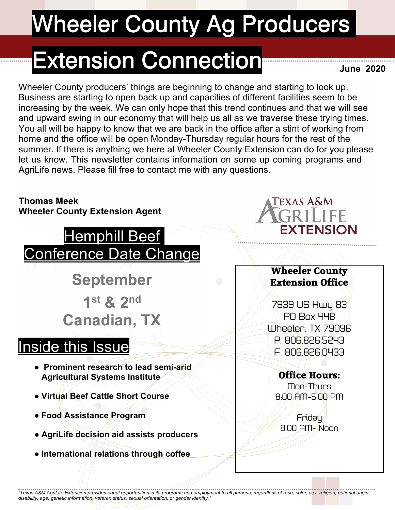# **Wheeler County Ag Producers**

## **Extension Connection**

**June 2020**

Wheeler County producers' things are beginning to change and starting to look up. Business are starting to open back up and capacities of different facilities seem to be increasing by the week. We can only hope that this trend continues and that we will see and upward swing in our economy that will help us all as we traverse these trying times. You all will be happy to know that we are back in the office after a stint of working from home and the office will be open Monday-Thursday regular hours for the rest of the summer. If there is anything we here at Wheeler County Extension can do for you please let us know. This newsletter contains information on some up coming programs and AgriLife news. Please fill free to contact me with any questions.

#### **Thomas Meek Wheeler County Extension Agent**



**September 1 st & 2nd Canadian, TX**

### Inside this Issue

- **● Prominent research to lead semi-arid Agricultural Systems Institute**
- **● Virtual Beef Cattle Short Course**
- **● Food Assistance Program**
- **● AgriLife decision aid assists producers**
- **● International relations through coffee**



### **Wheeler County Extension Office**

7939 US Hwy 83 PO Box 448 Wheeler, TX 79096 P: 806.826.5243 F: 806.826.0433

### **Office Hours:**

Mon-Thurs 8:00 AM-5:00 PM

Friday 8:00 AM- Noon

*"Texas A&M AgriLife Extension provides equal opportunities in its programs and employment to all persons, regardless of race, color, sex, religion, national origin, disability, age, genetic information, veteran status, sexual orientation, or gender identity."*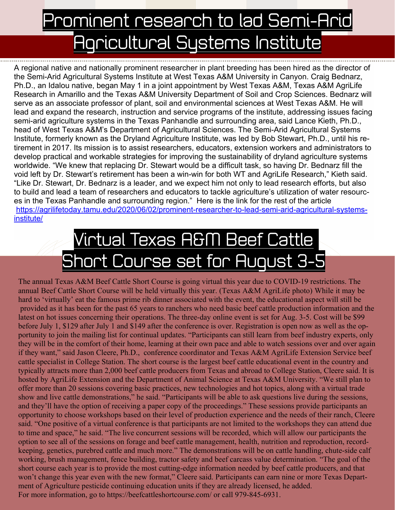## Prominent research to lad Semi-Arid Agricultural Systems Institute

A regional native and nationally prominent researcher in plant breeding has been hired as the director of the Semi-Arid Agricultural Systems Institute at West Texas A&M University in Canyon. Craig Bednarz, Ph.D., an Idalou native, began May 1 in a joint appointment by West Texas A&M, Texas A&M AgriLife Research in Amarillo and the Texas A&M University Department of Soil and Crop Sciences. Bednarz will serve as an associate professor of plant, soil and environmental sciences at West Texas A&M. He will lead and expand the research, instruction and service programs of the institute, addressing issues facing semi-arid agriculture systems in the Texas Panhandle and surrounding area, said Lance Kieth, Ph.D., head of West Texas A&M's Department of Agricultural Sciences. The Semi-Arid Agricultural Systems Institute, formerly known as the Dryland Agriculture Institute, was led by Bob Stewart, Ph.D., until his retirement in 2017. Its mission is to assist researchers, educators, extension workers and administrators to develop practical and workable strategies for improving the sustainability of dryland agriculture systems worldwide. "We knew that replacing Dr. Stewart would be a difficult task, so having Dr. Bednarz fill the void left by Dr. Stewart's retirement has been a win-win for both WT and AgriLife Research," Kieth said. "Like Dr. Stewart, Dr. Bednarz is a leader, and we expect him not only to lead research efforts, but also to build and lead a team of researchers and educators to tackle agriculture's utilization of water resources in the Texas Panhandle and surrounding region." Here is the link for the rest of the article https://agrilifetoday.tamu.edu/2020/06/02/prominent-researcher-to-lead-semi-arid-agricultural-systemsinstitute/

## Virtual Texas A&M Beef Cattle Short Course set for August 3.

The annual Texas A&M Beef Cattle Short Course is going virtual this year due to COVID-19 restrictions. The annual Beef Cattle Short Course will be held virtually this year. (Texas A&M AgriLife photo) While it may be hard to 'virtually' eat the famous prime rib dinner associated with the event, the educational aspect will still be provided as it has been for the past 65 years to ranchers who need basic beef cattle production information and the latest on hot issues concerning their operations. The three-day online event is set for Aug. 3-5. Cost will be \$99 before July 1, \$129 after July 1 and \$149 after the conference is over. Registration is open now as well as the opportunity to join the mailing list for continual updates. "Participants can still learn from beef industry experts, only they will be in the comfort of their home, learning at their own pace and able to watch sessions over and over again if they want," said Jason Cleere, Ph.D., conference coordinator and Texas A&M AgriLife Extension Service beef cattle specialist in College Station. The short course is the largest beef cattle educational event in the country and typically attracts more than 2,000 beef cattle producers from Texas and abroad to College Station, Cleere said. It is hosted by AgriLife Extension and the Department of Animal Science at Texas A&M University. "We still plan to offer more than 20 sessions covering basic practices, new technologies and hot topics, along with a virtual trade show and live cattle demonstrations," he said. "Participants will be able to ask questions live during the sessions, and they'll have the option of receiving a paper copy of the proceedings." These sessions provide participants an opportunity to choose workshops based on their level of production experience and the needs of their ranch, Cleere said. "One positive of a virtual conference is that participants are not limited to the workshops they can attend due to time and space," he said. "The live concurrent sessions will be recorded, which will allow our participants the option to see all of the sessions on forage and beef cattle management, health, nutrition and reproduction, recordkeeping, genetics, purebred cattle and much more." The demonstrations will be on cattle handling, chute-side calf working, brush management, fence building, tractor safety and beef carcass value determination. "The goal of the short course each year is to provide the most cutting-edge information needed by beef cattle producers, and that won't change this year even with the new format," Cleere said. Participants can earn nine or more Texas Department of Agriculture pesticide continuing education units if they are already licensed, he added. For more information, go to https://beefcattleshortcourse.com/ or call 979-845-6931.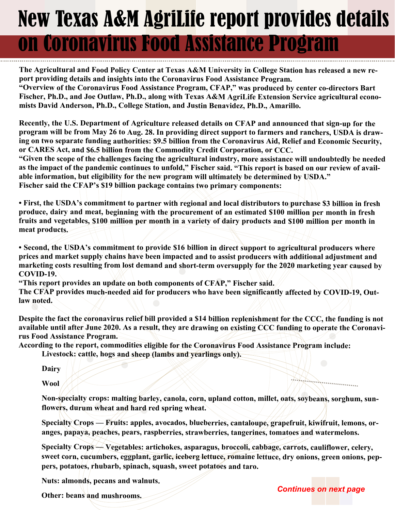## New Texas A&M AgriLife report provides details on Coronavirus Food Assistance Program

**The Agricultural and Food Policy Center at Texas A&M University in College Station has released a new report providing details and insights into the Coronavirus Food Assistance Program.**

**"Overview of the Coronavirus Food Assistance Program, CFAP," was produced by center co-directors Bart Fischer, Ph.D., and Joe Outlaw, Ph.D., along with Texas A&M AgriLife Extension Service agricultural economists David Anderson, Ph.D., College Station, and Justin Benavidez, Ph.D., Amarillo.**

**Recently, the U.S. Department of Agriculture released details on CFAP and announced that sign-up for the program will be from May 26 to Aug. 28. In providing direct support to farmers and ranchers, USDA is drawing on two separate funding authorities: \$9.5 billion from the Coronavirus Aid, Relief and Economic Security, or CARES Act, and \$6.5 billion from the Commodity Credit Corporation, or CCC.**

**"Given the scope of the challenges facing the agricultural industry, more assistance will undoubtedly be needed as the impact of the pandemic continues to unfold," Fischer said. "This report is based on our review of available information, but eligibility for the new program will ultimately be determined by USDA." Fischer said the CFAP's \$19 billion package contains two primary components:**

**• First, the USDA's commitment to partner with regional and local distributors to purchase \$3 billion in fresh produce, dairy and meat, beginning with the procurement of an estimated \$100 million per month in fresh fruits and vegetables, \$100 million per month in a variety of dairy products and \$100 million per month in meat products.**

**• Second, the USDA's commitment to provide \$16 billion in direct support to agricultural producers where prices and market supply chains have been impacted and to assist producers with additional adjustment and marketing costs resulting from lost demand and short-term oversupply for the 2020 marketing year caused by COVID-19.**

**"This report provides an update on both components of CFAP," Fischer said.**

**The CFAP provides much-needed aid for producers who have been significantly affected by COVID-19, Outlaw noted.**

**Despite the fact the coronavirus relief bill provided a \$14 billion replenishment for the CCC, the funding is not available until after June 2020. As a result, they are drawing on existing CCC funding to operate the Coronavirus Food Assistance Program.**

**According to the report, commodities eligible for the Coronavirus Food Assistance Program include:**

 **Livestock: cattle, hogs and sheep (lambs and yearlings only).**

 **Dairy**

 **Wool**

 **Non-specialty crops: malting barley, canola, corn, upland cotton, millet, oats, soybeans, sorghum, sunflowers, durum wheat and hard red spring wheat.**

 **Specialty Crops — Fruits: apples, avocados, blueberries, cantaloupe, grapefruit, kiwifruit, lemons, oranges, papaya, peaches, pears, raspberries, strawberries, tangerines, tomatoes and watermelons.**

 **Specialty Crops — Vegetables: artichokes, asparagus, broccoli, cabbage, carrots, cauliflower, celery, sweet corn, cucumbers, eggplant, garlic, iceberg lettuce, romaine lettuce, dry onions, green onions, peppers, potatoes, rhubarb, spinach, squash, sweet potatoes and taro.**

 **Nuts: almonds, pecans and walnuts.**

 **Other: beans and mushrooms.**

*Continues on next page*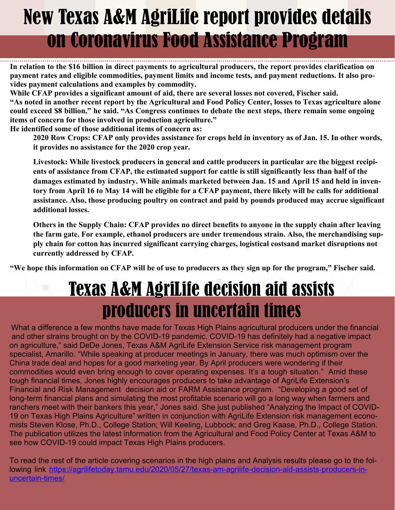## New Texas A&M AgriLife report provides details on Coronavirus Food Assistance Program

**In relation to the \$16 billion in direct payments to agricultural producers, the report provides clarification on payment rates and eligible commodities, payment limits and income tests, and payment reductions. It also provides payment calculations and examples by commodity.**

**While CFAP provides a significant amount of aid, there are several losses not covered, Fischer said. "As noted in another recent report by the Agricultural and Food Policy Center, losses to Texas agriculture alone**

**could exceed \$8 billion," he said. "As Congress continues to debate the next steps, there remain some ongoing items of concern for those involved in production agriculture."**

**He identified some of those additional items of concern as:**

 **2020 Row Crops: CFAP only provides assistance for crops held in inventory as of Jan. 15. In other words, it provides no assistance for the 2020 crop year.**

 **Livestock: While livestock producers in general and cattle producers in particular are the biggest recipients of assistance from CFAP, the estimated support for cattle is still significantly less than half of the damages estimated by industry. While animals marketed between Jan. 15 and April 15 and held in inventory from April 16 to May 14 will be eligible for a CFAP payment, there likely will be calls for additional assistance. Also, those producing poultry on contract and paid by pounds produced may accrue significant additional losses.**

 **Others in the Supply Chain: CFAP provides no direct benefits to anyone in the supply chain after leaving the farm gate. For example, ethanol producers are under tremendous strain. Also, the merchandising supply chain for cotton has incurred significant carrying charges, logistical costsand market disruptions not currently addressed by CFAP.**

**"We hope this information on CFAP will be of use to producers as they sign up for the program," Fischer said.**

## Texas A&M AgriLife decision aid assists producers in uncertain times

What a difference a few months have made for Texas High Plains agricultural producers under the financial and other strains brought on by the COVID-19 pandemic. COVID-19 has definitely had a negative impact on agriculture," said DeDe Jones, Texas A&M AgriLife Extension Service risk management program specialist, Amarillo. "While speaking at producer meetings in January, there was much optimism over the China trade deal and hopes for a good marketing year. By April producers were wondering if their commodities would even bring enough to cover operating expenses. It's a tough situation." Amid these tough financial times, Jones highly encourages producers to take advantage of AgriLife Extension's Financial and Risk Management decision aid or FARM Assistance program. "Developing a good set of long-term financial plans and simulating the most profitable scenario will go a long way when farmers and ranchers meet with their bankers this year," Jones said. She just published "Analyzing the Impact of COVID-19 on Texas High Plains Agriculture" written in conjunction with AgriLife Extension risk management economists Steven Klose, Ph.D., College Station; Will Keeling, Lubbock; and Greg Kaase, Ph.D., College Station. The publication utilizes the latest information from the Agricultural and Food Policy Center at Texas A&M to see how COVID-19 could impact Texas High Plains producers.

To read the rest of the article covering scenarios in the high plains and Analysis results please go to the following link https://agrilifetoday.tamu.edu/2020/05/27/texas-am-agrilife-decision-aid-assists-producers-inuncertain-times/